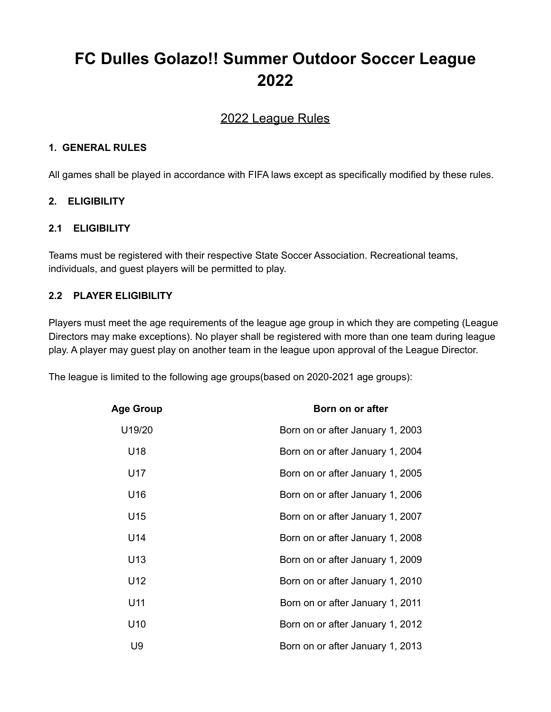# **FC Dulles Golazo!! Summer Outdoor Soccer League 2022**

# 2022 League Rules

#### **1. GENERAL RULES**

All games shall be played in accordance with FIFA laws except as specifically modified by these rules.

## **2. ELIGIBILITY**

#### **2.1 ELIGIBILITY**

Teams must be registered with their respective State Soccer Association. Recreational teams, individuals, and guest players will be permitted to play.

## **2.2 PLAYER ELIGIBILITY**

Players must meet the age requirements of the league age group in which they are competing (League Directors may make exceptions). No player shall be registered with more than one team during league play. A player may guest play on another team in the league upon approval of the League Director.

The league is limited to the following age groups(based on 2020-2021 age groups):

| Age Group | Born on or after                 |
|-----------|----------------------------------|
| U19/20    | Born on or after January 1, 2003 |
| U18       | Born on or after January 1, 2004 |
| U17       | Born on or after January 1, 2005 |
| U16       | Born on or after January 1, 2006 |
| U15       | Born on or after January 1, 2007 |
| U14       | Born on or after January 1, 2008 |
| U13       | Born on or after January 1, 2009 |
| U12       | Born on or after January 1, 2010 |
| U11       | Born on or after January 1, 2011 |
| U10       | Born on or after January 1, 2012 |
| U9        | Born on or after January 1, 2013 |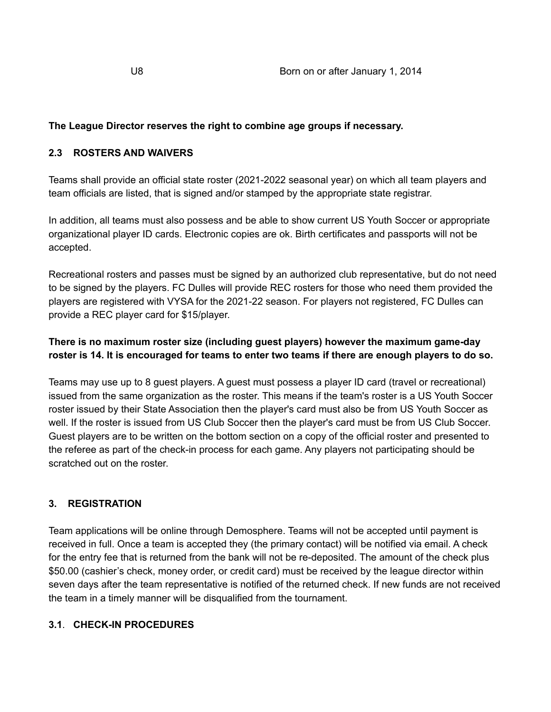#### **The League Director reserves the right to combine age groups if necessary.**

#### **2.3 ROSTERS AND WAIVERS**

Teams shall provide an official state roster (2021-2022 seasonal year) on which all team players and team officials are listed, that is signed and/or stamped by the appropriate state registrar.

In addition, all teams must also possess and be able to show current US Youth Soccer or appropriate organizational player ID cards. Electronic copies are ok. Birth certificates and passports will not be accepted.

Recreational rosters and passes must be signed by an authorized club representative, but do not need to be signed by the players. FC Dulles will provide REC rosters for those who need them provided the players are registered with VYSA for the 2021-22 season. For players not registered, FC Dulles can provide a REC player card for \$15/player.

## **There is no maximum roster size (including guest players) however the maximum game-day** roster is 14. It is encouraged for teams to enter two teams if there are enough players to do so.

Teams may use up to 8 guest players. A guest must possess a player ID card (travel or recreational) issued from the same organization as the roster. This means if the team's roster is a US Youth Soccer roster issued by their State Association then the player's card must also be from US Youth Soccer as well. If the roster is issued from US Club Soccer then the player's card must be from US Club Soccer. Guest players are to be written on the bottom section on a copy of the official roster and presented to the referee as part of the check-in process for each game. Any players not participating should be scratched out on the roster.

## **3. REGISTRATION**

Team applications will be online through Demosphere. Teams will not be accepted until payment is received in full. Once a team is accepted they (the primary contact) will be notified via email. A check for the entry fee that is returned from the bank will not be re-deposited. The amount of the check plus \$50.00 (cashier's check, money order, or credit card) must be received by the league director within seven days after the team representative is notified of the returned check. If new funds are not received the team in a timely manner will be disqualified from the tournament.

#### **3.1**. **CHECK-IN PROCEDURES**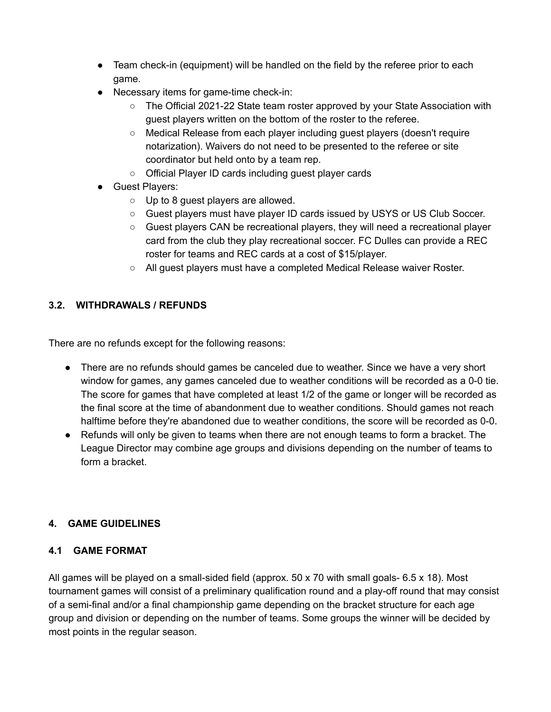- Team check-in (equipment) will be handled on the field by the referee prior to each game.
- Necessary items for game-time check-in:
	- The Official 2021-22 State team roster approved by your State Association with guest players written on the bottom of the roster to the referee.
	- Medical Release from each player including guest players (doesn't require notarization). Waivers do not need to be presented to the referee or site coordinator but held onto by a team rep.
	- Official Player ID cards including guest player cards
- Guest Players:
	- Up to 8 guest players are allowed.
	- Guest players must have player ID cards issued by USYS or US Club Soccer.
	- Guest players CAN be recreational players, they will need a recreational player card from the club they play recreational soccer. FC Dulles can provide a REC roster for teams and REC cards at a cost of \$15/player.
	- All guest players must have a completed Medical Release waiver Roster.

## **3.2. WITHDRAWALS / REFUNDS**

There are no refunds except for the following reasons:

- There are no refunds should games be canceled due to weather. Since we have a very short window for games, any games canceled due to weather conditions will be recorded as a 0-0 tie. The score for games that have completed at least 1/2 of the game or longer will be recorded as the final score at the time of abandonment due to weather conditions. Should games not reach halftime before they're abandoned due to weather conditions, the score will be recorded as 0-0.
- Refunds will only be given to teams when there are not enough teams to form a bracket. The League Director may combine age groups and divisions depending on the number of teams to form a bracket.

## **4. GAME GUIDELINES**

## **4.1 GAME FORMAT**

All games will be played on a small-sided field (approx. 50 x 70 with small goals- 6.5 x 18). Most tournament games will consist of a preliminary qualification round and a play-off round that may consist of a semi-final and/or a final championship game depending on the bracket structure for each age group and division or depending on the number of teams. Some groups the winner will be decided by most points in the regular season.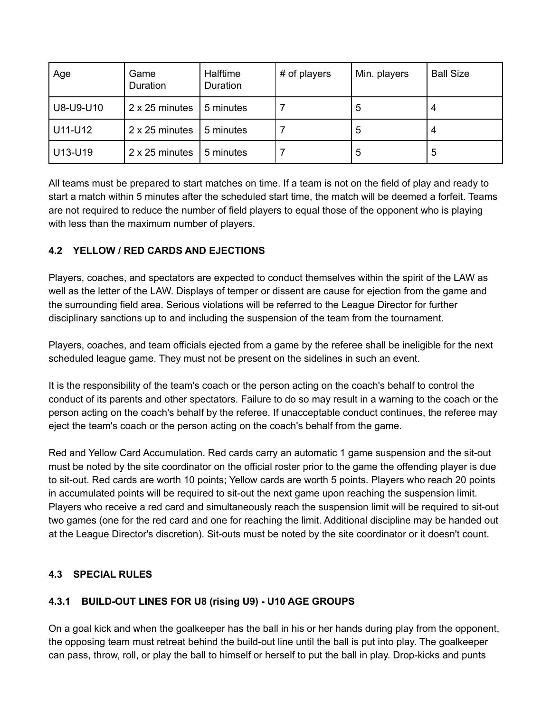| Age       | Game<br>Duration | Halftime<br>Duration | # of players | Min. players | <b>Ball Size</b> |
|-----------|------------------|----------------------|--------------|--------------|------------------|
| U8-U9-U10 | 2 x 25 minutes   | 5 minutes            |              | 5            |                  |
| U11-U12   | 2 x 25 minutes   | 5 minutes            |              | 5            |                  |
| U13-U19   | 2 x 25 minutes   | 5 minutes            |              | 5            | 5                |

All teams must be prepared to start matches on time. If a team is not on the field of play and ready to start a match within 5 minutes after the scheduled start time, the match will be deemed a forfeit. Teams are not required to reduce the number of field players to equal those of the opponent who is playing with less than the maximum number of players.

## **4.2 YELLOW / RED CARDS AND EJECTIONS**

Players, coaches, and spectators are expected to conduct themselves within the spirit of the LAW as well as the letter of the LAW. Displays of temper or dissent are cause for ejection from the game and the surrounding field area. Serious violations will be referred to the League Director for further disciplinary sanctions up to and including the suspension of the team from the tournament.

Players, coaches, and team officials ejected from a game by the referee shall be ineligible for the next scheduled league game. They must not be present on the sidelines in such an event.

It is the responsibility of the team's coach or the person acting on the coach's behalf to control the conduct of its parents and other spectators. Failure to do so may result in a warning to the coach or the person acting on the coach's behalf by the referee. If unacceptable conduct continues, the referee may eject the team's coach or the person acting on the coach's behalf from the game.

Red and Yellow Card Accumulation. Red cards carry an automatic 1 game suspension and the sit-out must be noted by the site coordinator on the official roster prior to the game the offending player is due to sit-out. Red cards are worth 10 points; Yellow cards are worth 5 points. Players who reach 20 points in accumulated points will be required to sit-out the next game upon reaching the suspension limit. Players who receive a red card and simultaneously reach the suspension limit will be required to sit-out two games (one for the red card and one for reaching the limit. Additional discipline may be handed out at the League Director's discretion). Sit-outs must be noted by the site coordinator or it doesn't count.

## **4.3 SPECIAL RULES**

## **4.3.1 BUILD-OUT LINES FOR U8 (rising U9) - U10 AGE GROUPS**

On a goal kick and when the goalkeeper has the ball in his or her hands during play from the opponent, the opposing team must retreat behind the build-out line until the ball is put into play. The goalkeeper can pass, throw, roll, or play the ball to himself or herself to put the ball in play. Drop-kicks and punts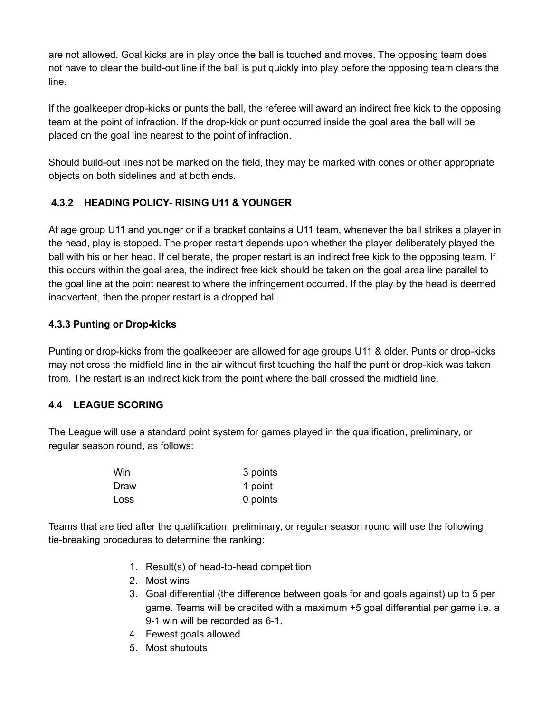are not allowed. Goal kicks are in play once the ball is touched and moves. The opposing team does not have to clear the build-out line if the ball is put quickly into play before the opposing team clears the line.

If the goalkeeper drop-kicks or punts the ball, the referee will award an indirect free kick to the opposing team at the point of infraction. If the drop-kick or punt occurred inside the goal area the ball will be placed on the goal line nearest to the point of infraction.

Should build-out lines not be marked on the field, they may be marked with cones or other appropriate objects on both sidelines and at both ends.

# **4.3.2 HEADING POLICY- RISING U11 & YOUNGER**

At age group U11 and younger or if a bracket contains a U11 team, whenever the ball strikes a player in the head, play is stopped. The proper restart depends upon whether the player deliberately played the ball with his or her head. If deliberate, the proper restart is an indirect free kick to the opposing team. If this occurs within the goal area, the indirect free kick should be taken on the goal area line parallel to the goal line at the point nearest to where the infringement occurred. If the play by the head is deemed inadvertent, then the proper restart is a dropped ball.

## **4.3.3 Punting or Drop-kicks**

Punting or drop-kicks from the goalkeeper are allowed for age groups U11 & older. Punts or drop-kicks may not cross the midfield line in the air without first touching the half the punt or drop-kick was taken from. The restart is an indirect kick from the point where the ball crossed the midfield line.

## **4.4 LEAGUE SCORING**

The League will use a standard point system for games played in the qualification, preliminary, or regular season round, as follows:

| Win  | 3 points |
|------|----------|
| Draw | 1 point  |
| Loss | 0 points |

Teams that are tied after the qualification, preliminary, or regular season round will use the following tie-breaking procedures to determine the ranking:

- 1. Result(s) of head-to-head competition
- 2. Most wins
- 3. Goal differential (the difference between goals for and goals against) up to 5 per game. Teams will be credited with a maximum +5 goal differential per game i.e. a 9-1 win will be recorded as 6-1.
- 4. Fewest goals allowed
- 5. Most shutouts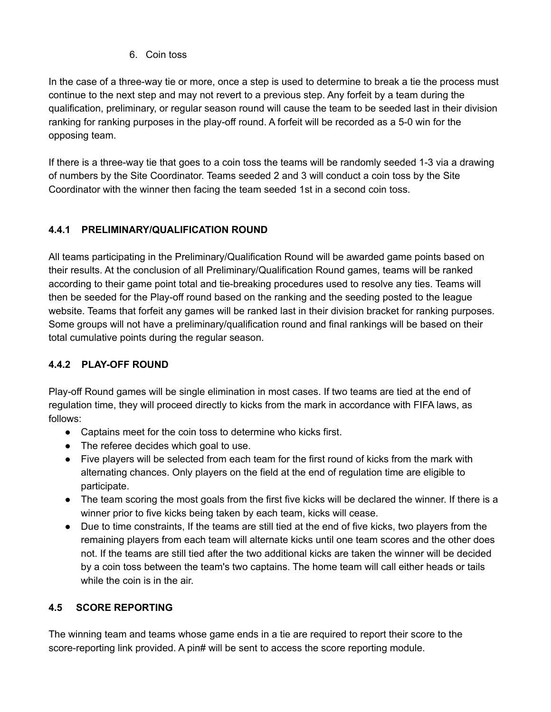## 6. Coin toss

In the case of a three-way tie or more, once a step is used to determine to break a tie the process must continue to the next step and may not revert to a previous step. Any forfeit by a team during the qualification, preliminary, or regular season round will cause the team to be seeded last in their division ranking for ranking purposes in the play-off round. A forfeit will be recorded as a 5-0 win for the opposing team.

If there is a three-way tie that goes to a coin toss the teams will be randomly seeded 1-3 via a drawing of numbers by the Site Coordinator. Teams seeded 2 and 3 will conduct a coin toss by the Site Coordinator with the winner then facing the team seeded 1st in a second coin toss.

# **4.4.1 PRELIMINARY/QUALIFICATION ROUND**

All teams participating in the Preliminary/Qualification Round will be awarded game points based on their results. At the conclusion of all Preliminary/Qualification Round games, teams will be ranked according to their game point total and tie-breaking procedures used to resolve any ties. Teams will then be seeded for the Play-off round based on the ranking and the seeding posted to the league website. Teams that forfeit any games will be ranked last in their division bracket for ranking purposes. Some groups will not have a preliminary/qualification round and final rankings will be based on their total cumulative points during the regular season.

# **4.4.2 PLAY-OFF ROUND**

Play-off Round games will be single elimination in most cases. If two teams are tied at the end of regulation time, they will proceed directly to kicks from the mark in accordance with FIFA laws, as follows:

- Captains meet for the coin toss to determine who kicks first.
- The referee decides which goal to use.
- Five players will be selected from each team for the first round of kicks from the mark with alternating chances. Only players on the field at the end of regulation time are eligible to participate.
- The team scoring the most goals from the first five kicks will be declared the winner. If there is a winner prior to five kicks being taken by each team, kicks will cease.
- Due to time constraints, If the teams are still tied at the end of five kicks, two players from the remaining players from each team will alternate kicks until one team scores and the other does not. If the teams are still tied after the two additional kicks are taken the winner will be decided by a coin toss between the team's two captains. The home team will call either heads or tails while the coin is in the air.

## **4.5 SCORE REPORTING**

The winning team and teams whose game ends in a tie are required to report their score to the score-reporting link provided. A pin# will be sent to access the score reporting module.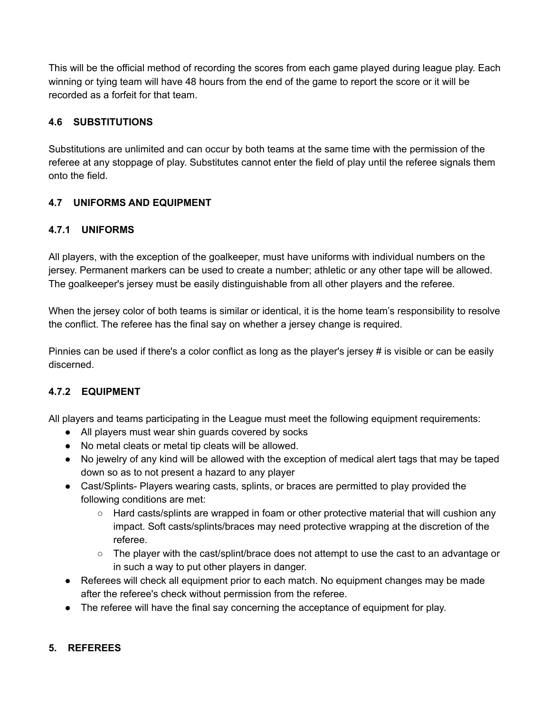This will be the official method of recording the scores from each game played during league play. Each winning or tying team will have 48 hours from the end of the game to report the score or it will be recorded as a forfeit for that team.

# **4.6 SUBSTITUTIONS**

Substitutions are unlimited and can occur by both teams at the same time with the permission of the referee at any stoppage of play. Substitutes cannot enter the field of play until the referee signals them onto the field.

## **4.7 UNIFORMS AND EQUIPMENT**

## **4.7.1 UNIFORMS**

All players, with the exception of the goalkeeper, must have uniforms with individual numbers on the jersey. Permanent markers can be used to create a number; athletic or any other tape will be allowed. The goalkeeper's jersey must be easily distinguishable from all other players and the referee.

When the jersey color of both teams is similar or identical, it is the home team's responsibility to resolve the conflict. The referee has the final say on whether a jersey change is required.

Pinnies can be used if there's a color conflict as long as the player's jersey # is visible or can be easily discerned.

# **4.7.2 EQUIPMENT**

All players and teams participating in the League must meet the following equipment requirements:

- All players must wear shin guards covered by socks
- No metal cleats or metal tip cleats will be allowed.
- No jewelry of any kind will be allowed with the exception of medical alert tags that may be taped down so as to not present a hazard to any player
- Cast/Splints- Players wearing casts, splints, or braces are permitted to play provided the following conditions are met:
	- Hard casts/splints are wrapped in foam or other protective material that will cushion any impact. Soft casts/splints/braces may need protective wrapping at the discretion of the referee.
	- The player with the cast/splint/brace does not attempt to use the cast to an advantage or in such a way to put other players in danger.
- Referees will check all equipment prior to each match. No equipment changes may be made after the referee's check without permission from the referee.
- The referee will have the final say concerning the acceptance of equipment for play.

## **5. REFEREES**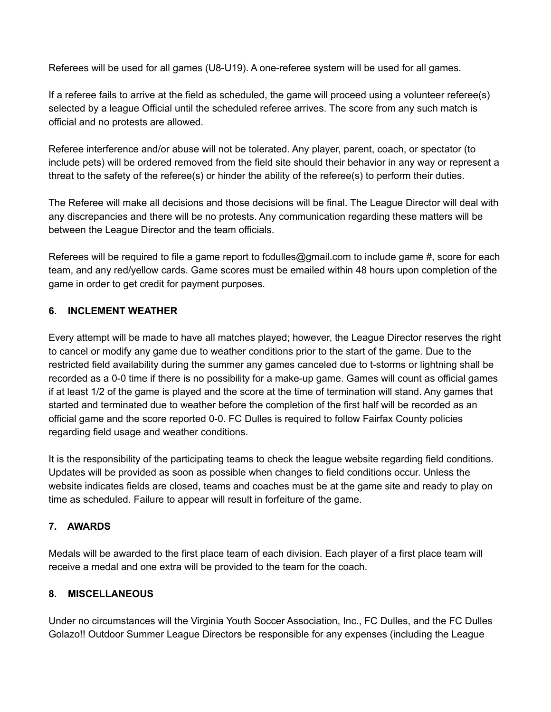Referees will be used for all games (U8-U19). A one-referee system will be used for all games.

If a referee fails to arrive at the field as scheduled, the game will proceed using a volunteer referee(s) selected by a league Official until the scheduled referee arrives. The score from any such match is official and no protests are allowed.

Referee interference and/or abuse will not be tolerated. Any player, parent, coach, or spectator (to include pets) will be ordered removed from the field site should their behavior in any way or represent a threat to the safety of the referee(s) or hinder the ability of the referee(s) to perform their duties.

The Referee will make all decisions and those decisions will be final. The League Director will deal with any discrepancies and there will be no protests. Any communication regarding these matters will be between the League Director and the team officials.

Referees will be required to file a game report to fcdulles@gmail.com to include game #, score for each team, and any red/yellow cards. Game scores must be emailed within 48 hours upon completion of the game in order to get credit for payment purposes.

## **6. INCLEMENT WEATHER**

Every attempt will be made to have all matches played; however, the League Director reserves the right to cancel or modify any game due to weather conditions prior to the start of the game. Due to the restricted field availability during the summer any games canceled due to t-storms or lightning shall be recorded as a 0-0 time if there is no possibility for a make-up game. Games will count as official games if at least 1/2 of the game is played and the score at the time of termination will stand. Any games that started and terminated due to weather before the completion of the first half will be recorded as an official game and the score reported 0-0. FC Dulles is required to follow Fairfax County policies regarding field usage and weather conditions.

It is the responsibility of the participating teams to check the league website regarding field conditions. Updates will be provided as soon as possible when changes to field conditions occur. Unless the website indicates fields are closed, teams and coaches must be at the game site and ready to play on time as scheduled. Failure to appear will result in forfeiture of the game.

## **7. AWARDS**

Medals will be awarded to the first place team of each division. Each player of a first place team will receive a medal and one extra will be provided to the team for the coach.

#### **8. MISCELLANEOUS**

Under no circumstances will the Virginia Youth Soccer Association, Inc., FC Dulles, and the FC Dulles Golazo!! Outdoor Summer League Directors be responsible for any expenses (including the League